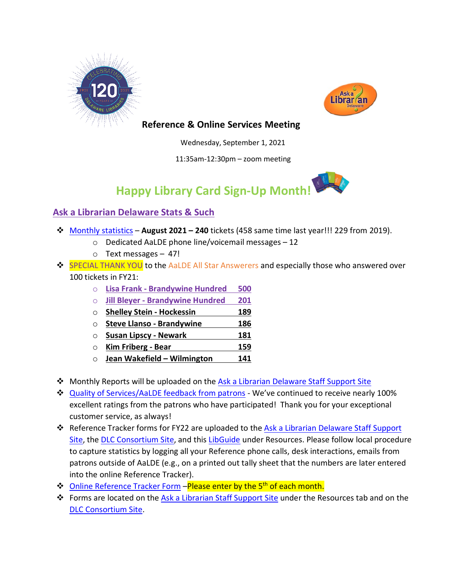



## **Reference & Online Services Meeting**

Wednesday, September 1, 2021

11:35am-12:30pm – zoom meeting



## **Ask a Librarian Delaware Stats & Such**

- [Monthly statistics](https://aalstaff.lib.de.us/home/reports/fy22-monthly-reports/) **August 2021 – 240** tickets (458 same time last year!!! 229 from 2019).
	- o Dedicated AaLDE phone line/voicemail messages 12
	- o Text messages 47!
- **→ SPECIAL THANK YOU** to the AaLDE All Star Answerers and especially those who answered over 100 tickets in FY21:
	- o **Lisa Frank - Brandywine Hundred 500**
	- o **Jill Bleyer - Brandywine Hundred 201**
	- o **Shelley Stein - Hockessin 189**
	- o **Steve Llanso - Brandywine 186**
	- o **Susan Lipscy - Newark 181**
	- o **Kim Friberg - Bear 159**
	- o **Jean Wakefield – Wilmington 141**
- Monthly Reports will be uploaded on the [Ask a Librarian Delaware Staff Support Site](https://aalstaff.lib.de.us/home/reports/fy21-monthly-reports/)
- [Quality of Services/](https://ask.springshare.com/libanswers/faq/2830)AaLDE feedback from patrons We've continued to receive nearly 100% excellent ratings from the patrons who have participated! Thank you for your exceptional customer service, as always!
- **EX** Reference Tracker forms for FY22 are uploaded to the Ask a Librarian Delaware Staff Support [Site,](https://aalstaff.lib.de.us/resources/reference-tracker-forms/) the [DLC Consortium Site,](https://consortium.lib.de.us/) and this [LibGuide](https://guides.lib.de.us/c.php?g=386101&p=2619930) under Resources. Please follow local procedure to capture statistics by logging all your Reference phone calls, desk interactions, emails from patrons outside of AaLDE (e.g., on a printed out tally sheet that the numbers are later entered into the online Reference Tracker).
- **❖** [Online Reference Tracker Form](https://de.countingopinions.com/s/feedback/index.php?survey_id=598&loc_id=en_CA) Please enter by the 5<sup>th</sup> of each month.
- **\*** Forms are located on the [Ask a Librarian Staff Support Site](https://aalstaff.lib.de.us/resources/) under the Resources tab and on the [DLC Consortium Site.](https://consortium.lib.de.us/)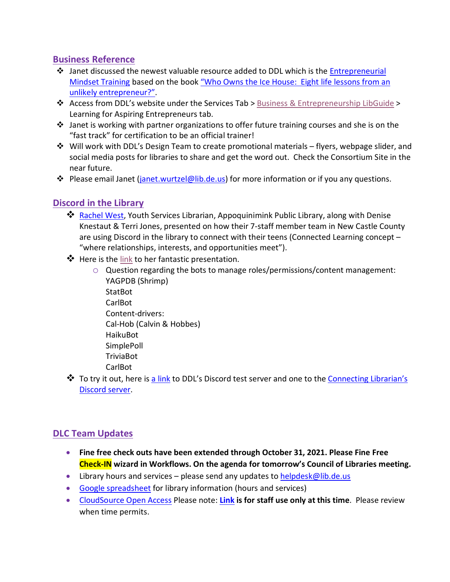## **Business Reference**

- Janet discussed the newest valuable resource added to DDL which is the [Entrepreneurial](https://guides.lib.de.us/c.php?g=584085&p=4033971)  [Mindset Training](https://guides.lib.de.us/c.php?g=584085&p=4033971) based on the book ["Who Owns the Ice House: Eight life lessons from an](https://dlc.lib.de.us/client/en_US/default/search/results?qu=who+owns+the+ice+house&te=)  [unlikely entrepreneur?".](https://dlc.lib.de.us/client/en_US/default/search/results?qu=who+owns+the+ice+house&te=)
- **EX** Access from DDL's website under the Services Tab > [Business & Entrepreneurship LibGuide](https://guides.lib.de.us/business) > Learning for Aspiring Entrepreneurs tab.
- $\clubsuit$  Janet is working with partner organizations to offer future training courses and she is on the "fast track" for certification to be an official trainer!
- $\div$  Will work with DDL's Design Team to create promotional materials flyers, webpage slider, and social media posts for libraries to share and get the word out. Check the Consortium Site in the near future.
- Please email Janet [\(janet.wurtzel@lib.de.us\)](mailto:janet.wurtzel@lib.de.us) for more information or if you any questions.

# **Discord in the Library**

- \* [Rachel West,](mailto:Rachel.West@newcastlede.gov) Youth Services Librarian, Appoquinimink Public Library, along with Denise Knestaut & Terri Jones, presented on how their 7-staff member team in New Castle County are using Discord in the library to connect with their teens (Connected Learning concept – "where relationships, interests, and opportunities meet").
- $\clubsuit$  Here is the [link](https://tinyurl.com/NCCTeenDiscordForDDL) to her fantastic presentation.
	- o Question regarding the bots to manage roles/permissions/content management: YAGPDB (Shrimp) StatBot **CarlBot** Content-drivers: Cal-Hob (Calvin & Hobbes) HaikuBot SimplePoll **TriviaBot** CarlBot
- \* To try it out, here is [a link](https://discord.com/invite/K6GtDuGd) to DDL's Discord test server and one to the [Connecting](https://discord.com/invite/j9JPSGyt) Librarian's [Discord server.](https://discord.com/invite/j9JPSGyt)

# **DLC Team Updates**

- **Fine free check outs have been extended through October 31, 2021. Please Fine Free Check-IN wizard in Workflows. On the agenda for tomorrow's Council of Libraries meeting.**
- Library hours and services please send any updates t[o helpdesk@lib.de.us](mailto:helpdesk@lib.de.us)
- [Google spreadsheet](https://docs.google.com/spreadsheets/d/1LU1wJdCTHeCELlt4vygc-mjwQQNm1__Su4hihXtu8v8/edit#gid=461441173) for library information (hours and services)
- [CloudSource Open Access](https://dlc.lib.de.us/client/en_US/CSOA/) Please note: **[Link](https://dlc.lib.de.us/client/en_US/CSOA/) is for staff use only at this time**. Please review when time permits.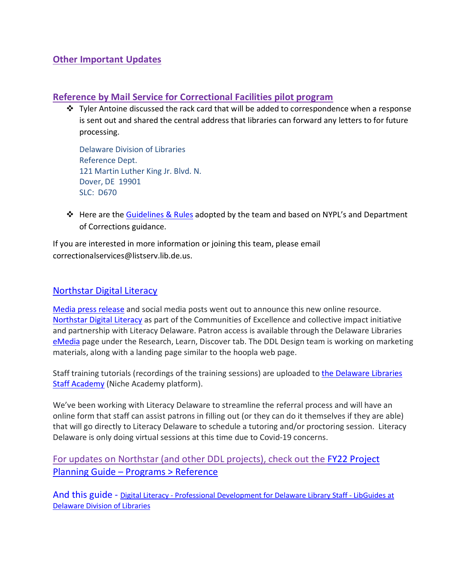## **Other Important Updates**

#### **Reference by Mail Service for Correctional Facilities pilot program**

 Tyler Antoine discussed the rack card that will be added to correspondence when a response is sent out and shared the central address that libraries can forward any letters to for future processing.

Delaware Division of Libraries Reference Dept. 121 Martin Luther King Jr. Blvd. N. Dover, DE 19901 SLC: D670

 $\div$  Here are the [Guidelines & Rules](https://docs.google.com/document/d/1NfkV7ElAElbPhCqWGDu7zs2r0EysKmNahO8ygyK4Dlg/edit?usp=sharing) adopted by the team and based on NYPL's and Department of Corrections guidance.

If you are interested in more information or joining this team, please email correctionalservices@listserv.lib.de.us.

#### [Northstar Digital Literacy](https://www.digitalliteracyassessment.org/about#about)

[Media press release](https://news.delaware.gov/2021/08/30/northstar-digital-literacy-tool/) and social media posts went out to announce this new online resource. [Northstar Digital Literacy](https://www.digitalliteracyassessment.org/about#about) as part of the Communities of Excellence and collective impact initiative and partnership with Literacy Delaware. Patron access is available through the Delaware Libraries [eMedia](https://lib.de.us/emedia/) page under the Research, Learn, Discover tab. The DDL Design team is working on marketing materials, along with a landing page similar to the hoopla web page.

Staff training tutorials (recordings of the training sessions) are uploaded to [the Delaware Libraries](https://my.nicheacademy.com/delawarelibrariesstaffacademy?category=11828)  [Staff Academy](https://my.nicheacademy.com/delawarelibrariesstaffacademy?category=11828) (Niche Academy platform).

We've been working with Literacy Delaware to streamline the referral process and will have an online form that staff can assist patrons in filling out (or they can do it themselves if they are able) that will go directly to Literacy Delaware to schedule a tutoring and/or proctoring session. Literacy Delaware is only doing virtual sessions at this time due to Covid-19 concerns.

For updates on Northstar (and other DDL projects), check out the [FY22 Project](https://guides.lib.de.us/projectplanning/programs)  Planning Guide – [Programs > Reference](https://guides.lib.de.us/projectplanning/programs)

And this guide - Digital Literacy - [Professional Development for Delaware Library Staff -](https://guides.lib.de.us/c.php?g=386101&p=2619968) LibGuides at [Delaware Division of Libraries](https://guides.lib.de.us/c.php?g=386101&p=2619968)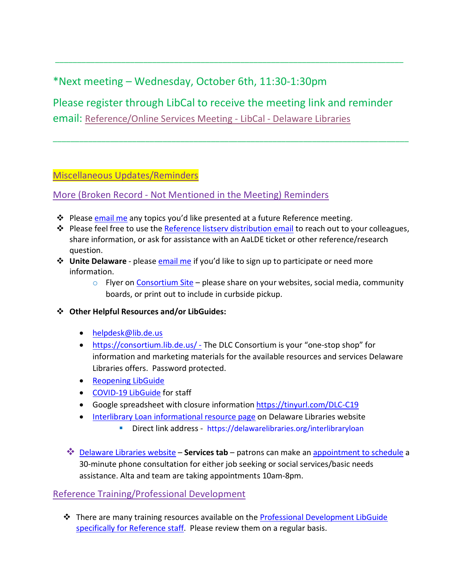# \*Next meeting – Wednesday, October 6th, 11:30-1:30pm

Please register through LibCal to receive the meeting link and reminder email: [Reference/Online Services Meeting -](https://delawarelibraries.libcal.com/event/7594126) LibCal - Delaware Libraries

\_\_\_\_\_\_\_\_\_\_\_\_\_\_\_\_\_\_\_\_\_\_\_\_\_\_\_\_\_\_\_\_\_\_\_\_\_\_\_\_\_\_\_\_\_\_\_\_\_\_\_\_\_\_\_\_\_\_\_\_\_\_\_\_\_\_\_\_\_\_\_\_\_\_\_\_\_\_\_\_\_

\_\_\_\_\_\_\_\_\_\_\_\_\_\_\_\_\_\_\_\_\_\_\_\_\_\_\_\_\_\_\_\_\_\_\_\_\_\_\_\_\_\_\_\_\_\_\_\_\_\_\_\_\_\_\_\_\_\_\_\_\_\_\_\_\_\_\_\_\_\_\_\_\_\_\_\_\_\_\_

#### Miscellaneous Updates/Reminders

#### More (Broken Record - Not Mentioned in the Meeting) Reminders

- **‡** Please [email me](mailto:missy.williams@lib.de.us) any topics you'd like presented at a future Reference meeting.
- ◆ Please feel free to use the [Reference listserv distribution email](mailto:reference@listserv.lib.de.us) to reach out to your colleagues, share information, or ask for assistance with an AaLDE ticket or other reference/research question.
- **↓ Unite Delaware** please **email me** if you'd like to sign up to participate or need more information.
	- $\circ$  Flyer on [Consortium Site](https://consortium.lib.de.us/marketing/) please share on your websites, social media, community boards, or print out to include in curbside pickup.
- **Other Helpful Resources and/or LibGuides:**
	- [helpdesk@lib.de.us](mailto:helpdesk@lib.de.us)
	- <https://consortium.lib.de.us/> The DLC Consortium is your "one-stop shop" for information and marketing materials for the available resources and services Delaware Libraries offers. Password protected.
	- [Reopening LibGuide](https://guides.lib.de.us/delibraries/COVID-19/reopening)
	- [COVID-19 LibGuide](https://guides.lib.de.us/delibraries/COVID-19) for staff
	- Google spreadsheet with closure information<https://tinyurl.com/DLC-C19>
	- [Interlibrary Loan informational resource page](https://lib.de.us/interlibraryloan/) on Delaware Libraries website
		- Direct link address <https://delawarelibraries.org/interlibraryloan>
	- **<sup>◆</sup>** [Delaware Libraries website](https://lib.de.us/) **Services tab** patrons can make an [appointment to schedule](https://delawarelibraries.libcal.com/appointments/) a 30-minute phone consultation for either job seeking or social services/basic needs assistance. Alta and team are taking appointments 10am-8pm.

#### Reference Training/Professional Development

 There are many training resources available on the [Professional Development LibGuide](https://guides.lib.de.us/c.php?g=386101&p=2619930)  [specifically for Reference staff.](https://guides.lib.de.us/c.php?g=386101&p=2619930) Please review them on a regular basis.